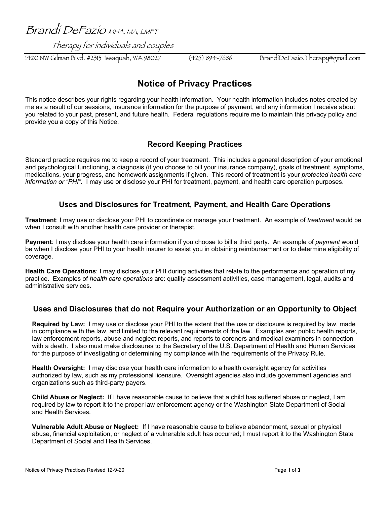Brandi DeFazio MHA, MA, LMFT

Therapy for individuals and couples

1420 NW Gilman Blvd. #2313 Issaquah, WA 98027 (425) 894-7686 BrandiDeFazio.Therapy@gmail.com

# **Notice of Privacy Practices**

This notice describes your rights regarding your health information. Your health information includes notes created by me as a result of our sessions, insurance information for the purpose of payment, and any information I receive about you related to your past, present, and future health. Federal regulations require me to maintain this privacy policy and provide you a copy of this Notice.

# **Record Keeping Practices**

Standard practice requires me to keep a record of your treatment. This includes a general description of your emotional and psychological functioning, a diagnosis (if you choose to bill your insurance company), goals of treatment, symptoms, medications, your progress, and homework assignments if given. This record of treatment is your *protected health care information or "PHI".* I may use or disclose your PHI for treatment, payment, and health care operation purposes.

### **Uses and Disclosures for Treatment, Payment, and Health Care Operations**

**Treatment**: I may use or disclose your PHI to coordinate or manage your treatment. An example of *treatment* would be when I consult with another health care provider or therapist.

**Payment**: I may disclose your health care information if you choose to bill a third party. An example of *payment* would be when I disclose your PHI to your health insurer to assist you in obtaining reimbursement or to determine eligibility of coverage.

**Health Care Operations**: I may disclose your PHI during activities that relate to the performance and operation of my practice. Examples of *health care operations* are: quality assessment activities, case management, legal, audits and administrative services.

### **Uses and Disclosures that do not Require your Authorization or an Opportunity to Object**

**Required by Law:** I may use or disclose your PHI to the extent that the use or disclosure is required by law, made in compliance with the law, and limited to the relevant requirements of the law. Examples are: public health reports, law enforcement reports, abuse and neglect reports, and reports to coroners and medical examiners in connection with a death. I also must make disclosures to the Secretary of the U.S. Department of Health and Human Services for the purpose of investigating or determining my compliance with the requirements of the Privacy Rule.

**Health Oversight:** I may disclose your health care information to a health oversight agency for activities authorized by law, such as my professional licensure. Oversight agencies also include government agencies and organizations such as third-party payers.

**Child Abuse or Neglect:** If I have reasonable cause to believe that a child has suffered abuse or neglect, I am required by law to report it to the proper law enforcement agency or the Washington State Department of Social and Health Services.

**Vulnerable Adult Abuse or Neglect:** If I have reasonable cause to believe abandonment, sexual or physical abuse, financial exploitation, or neglect of a vulnerable adult has occurred; I must report it to the Washington State Department of Social and Health Services.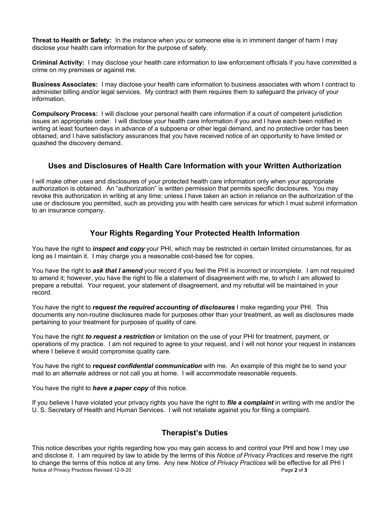**Threat to Health or Safety:** In the instance when you or someone else is in imminent danger of harm I may disclose your health care information for the purpose of safety.

**Criminal Activity:** I may disclose your health care information to law enforcement officials if you have committed a crime on my premises or against me.

**Business Associates:** I may disclose your health care information to business associates with whom I contract to administer billing and/or legal services. My contract with them requires them to safeguard the privacy of your information.

**Compulsory Process:** I will disclose your personal health care information if a court of competent jurisdiction issues an appropriate order. I will disclose your health care information if you and I have each been notified in writing at least fourteen days in advance of a subpoena or other legal demand, and no protective order has been obtained, and I have satisfactory assurances that you have received notice of an opportunity to have limited or quashed the discovery demand.

#### **Uses and Disclosures of Health Care Information with your Written Authorization**

I will make other uses and disclosures of your protected health care information only when your appropriate authorization is obtained. An "authorization" is written permission that permits specific disclosures. You may revoke this authorization in writing at any time; unless I have taken an action in reliance on the authorization of the use or disclosure you permitted, such as providing you with health care services for which I must submit information to an insurance company.

# **Your Rights Regarding Your Protected Health Information**

You have the right to *inspect and copy* your PHI, which may be restricted in certain limited circumstances, for as long as I maintain it. I may charge you a reasonable cost-based fee for copies.

You have the right to *ask that I amend* your record if you feel the PHI is incorrect or incomplete. I am not required to amend it; however, you have the right to file a statement of disagreement with me, to which I am allowed to prepare a rebuttal. Your request, your statement of disagreement, and my rebuttal will be maintained in your record.

You have the right to *request the required accounting of disclosures* I make regarding your PHI. This documents any non-routine disclosures made for purposes other than your treatment, as well as disclosures made pertaining to your treatment for purposes of quality of care.

You have the right *to request a restriction* or limitation on the use of your PHI for treatment, payment, or operations of my practice. I am not required to agree to your request, and I will not honor your request in instances where I believe it would compromise quality care.

You have the right to *request confidential communication* with me. An example of this might be to send your mail to an alternate address or not call you at home. I will accommodate reasonable requests.

You have the right to *have a paper copy* of this notice.

If you believe I have violated your privacy rights you have the right to *file a complaint* in writing with me and/or the U. S. Secretary of Health and Human Services. I will not retaliate against you for filing a complaint.

# **Therapist's Duties**

Notice of Privacy Practices Revised 12-9-20 Page 2 of 3 This notice describes your rights regarding how you may gain access to and control your PHI and how I may use and disclose it. I am required by law to abide by the terms of this *Notice of Privacy Practices* and reserve the right to change the terms of this notice at any time. Any new *Notice of Privacy Practices* will be effective for all PHI I